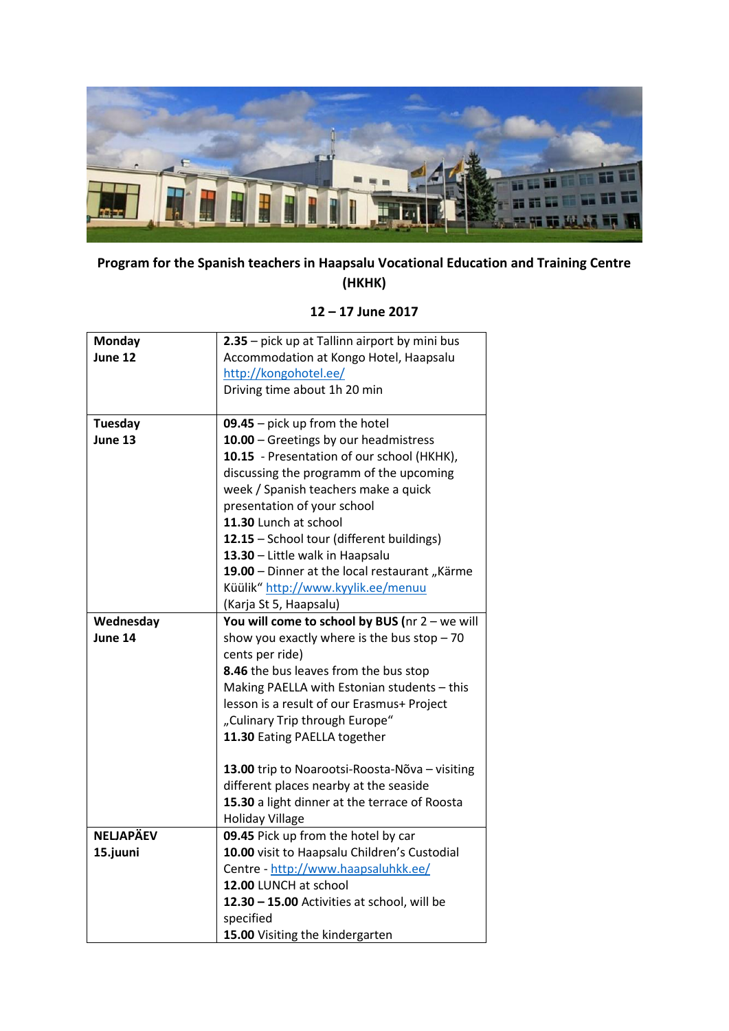

## **Program for the Spanish teachers in Haapsalu Vocational Education and Training Centre (HKHK)**

## **12 – 17 June 2017**

| <b>Monday</b>    | 2.35 - pick up at Tallinn airport by mini bus  |
|------------------|------------------------------------------------|
| June 12          | Accommodation at Kongo Hotel, Haapsalu         |
|                  | http://kongohotel.ee/                          |
|                  | Driving time about 1h 20 min                   |
|                  |                                                |
| Tuesday          | $09.45$ – pick up from the hotel               |
| June 13          | 10.00 - Greetings by our headmistress          |
|                  | 10.15 - Presentation of our school (HKHK),     |
|                  | discussing the programm of the upcoming        |
|                  | week / Spanish teachers make a quick           |
|                  | presentation of your school                    |
|                  | 11.30 Lunch at school                          |
|                  | 12.15 - School tour (different buildings)      |
|                  | 13.30 - Little walk in Haapsalu                |
|                  | 19.00 - Dinner at the local restaurant "Kärme  |
|                  | Küülik" http://www.kyylik.ee/menuu             |
|                  | (Karja St 5, Haapsalu)                         |
| Wednesday        | You will come to school by BUS (nr 2 - we will |
| June 14          | show you exactly where is the bus stop $-70$   |
|                  | cents per ride)                                |
|                  | 8.46 the bus leaves from the bus stop          |
|                  | Making PAELLA with Estonian students - this    |
|                  | lesson is a result of our Erasmus+ Project     |
|                  | "Culinary Trip through Europe"                 |
|                  | 11.30 Eating PAELLA together                   |
|                  |                                                |
|                  | 13.00 trip to Noarootsi-Roosta-Nõva - visiting |
|                  | different places nearby at the seaside         |
|                  | 15.30 a light dinner at the terrace of Roosta  |
| <b>NELJAPÄEV</b> | <b>Holiday Village</b>                         |
|                  | 09.45 Pick up from the hotel by car            |
| 15.juuni         | 10.00 visit to Haapsalu Children's Custodial   |
|                  | Centre - http://www.haapsaluhkk.ee/            |
|                  | 12.00 LUNCH at school                          |
|                  | 12.30 - 15.00 Activities at school, will be    |
|                  | specified                                      |
|                  | 15.00 Visiting the kindergarten                |